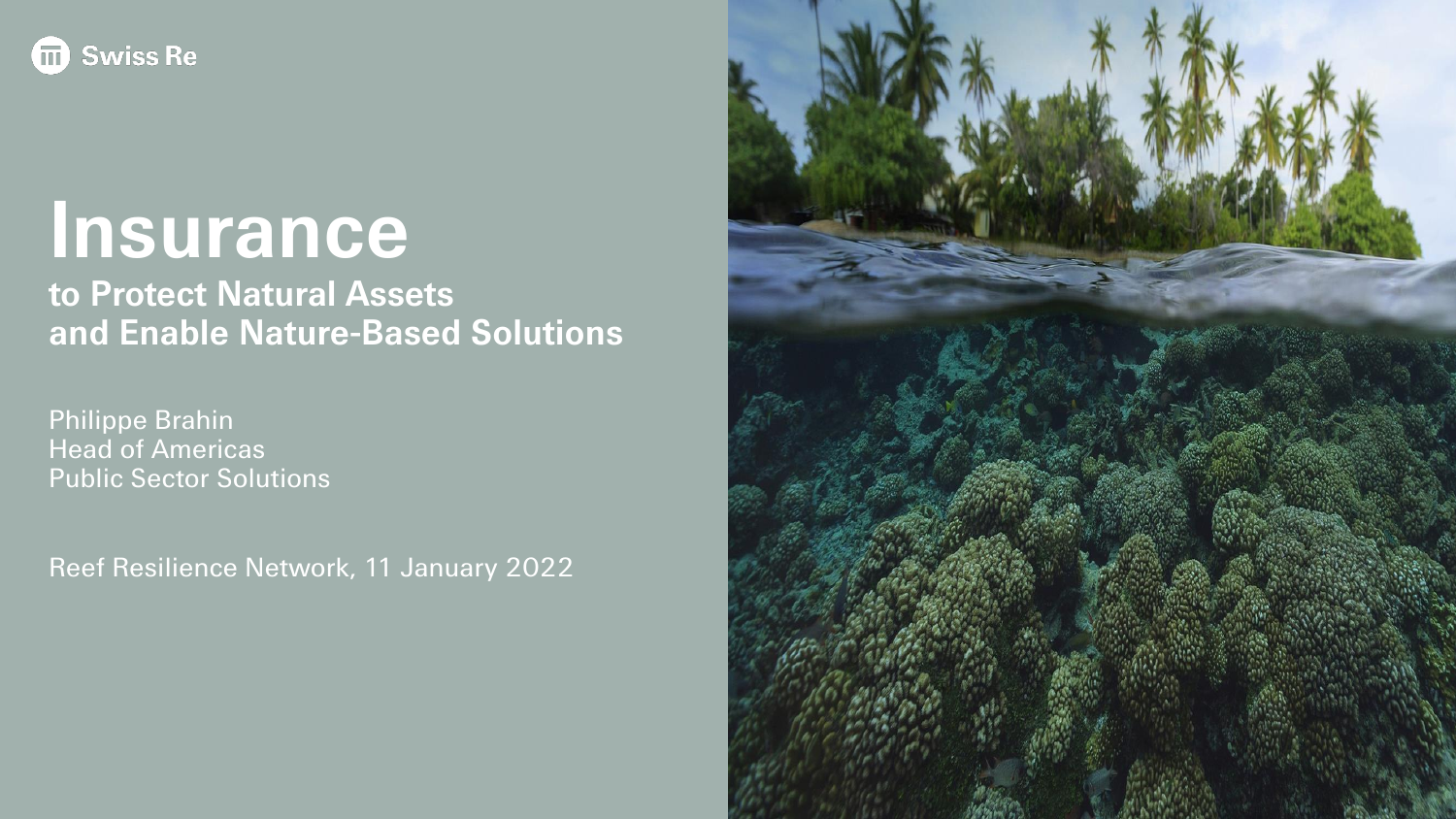

# **Insurance**

**to Protect Natural Assets and Enable Nature-Based Solutions**

Philippe Brahin Head of Americas Public Sector Solutions

Reef Resilience Network, 11 January 2022

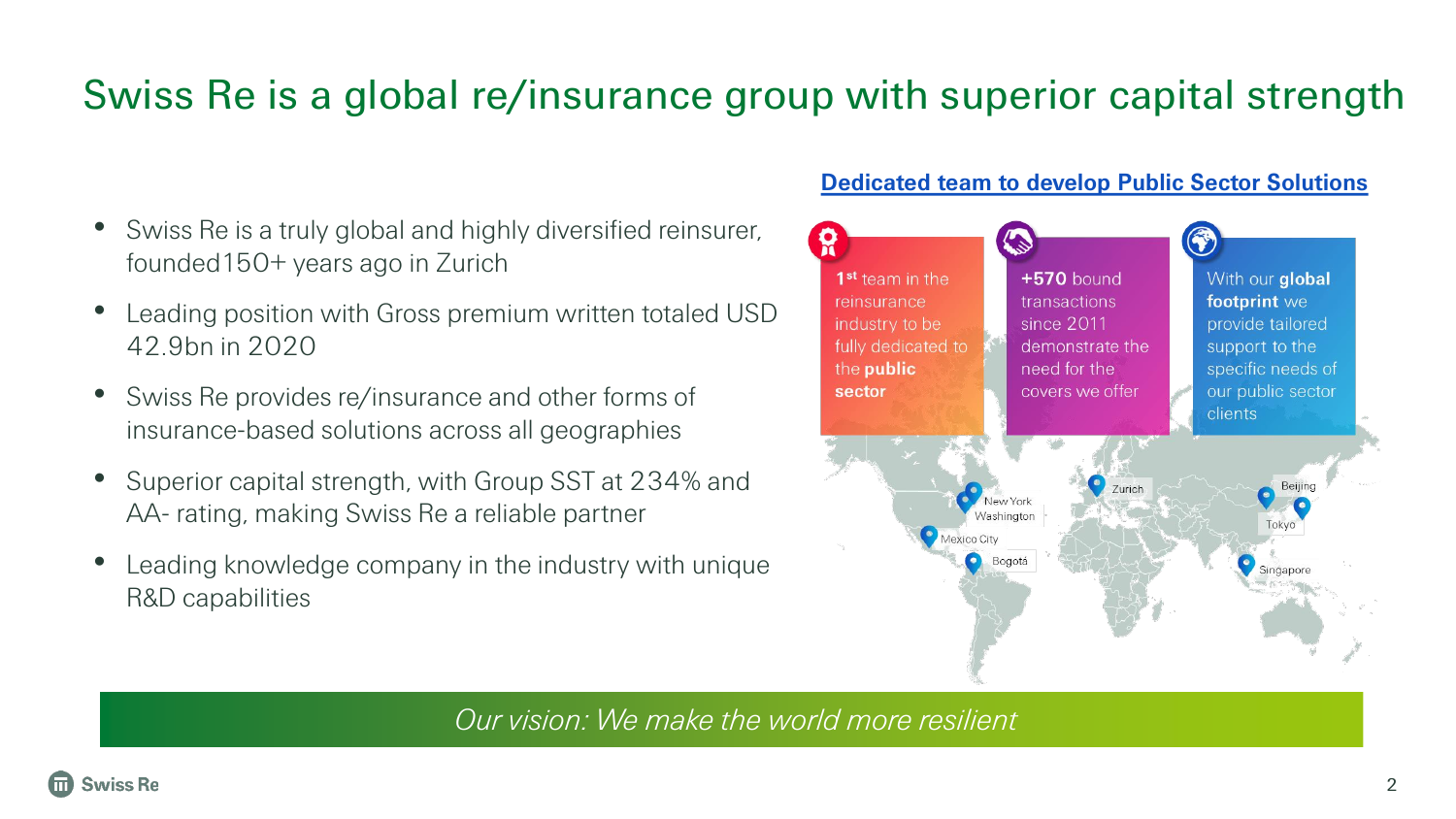### Swiss Re is a global re/insurance group with superior capital strength

- Swiss Re is a truly global and highly diversified reinsurer, founded150+ years ago in Zurich
- Leading position with Gross premium written totaled USD 42.9bn in 2020
- Swiss Re provides re/insurance and other forms of insurance-based solutions across all geographies
- Superior capital strength, with Group SST at 234% and AA- rating, making Swiss Re a reliable partner
- Leading knowledge company in the industry with unique R&D capabilities

#### **Dedicated team to develop Public Sector Solutions**



*Our vision: We make the world more resilient*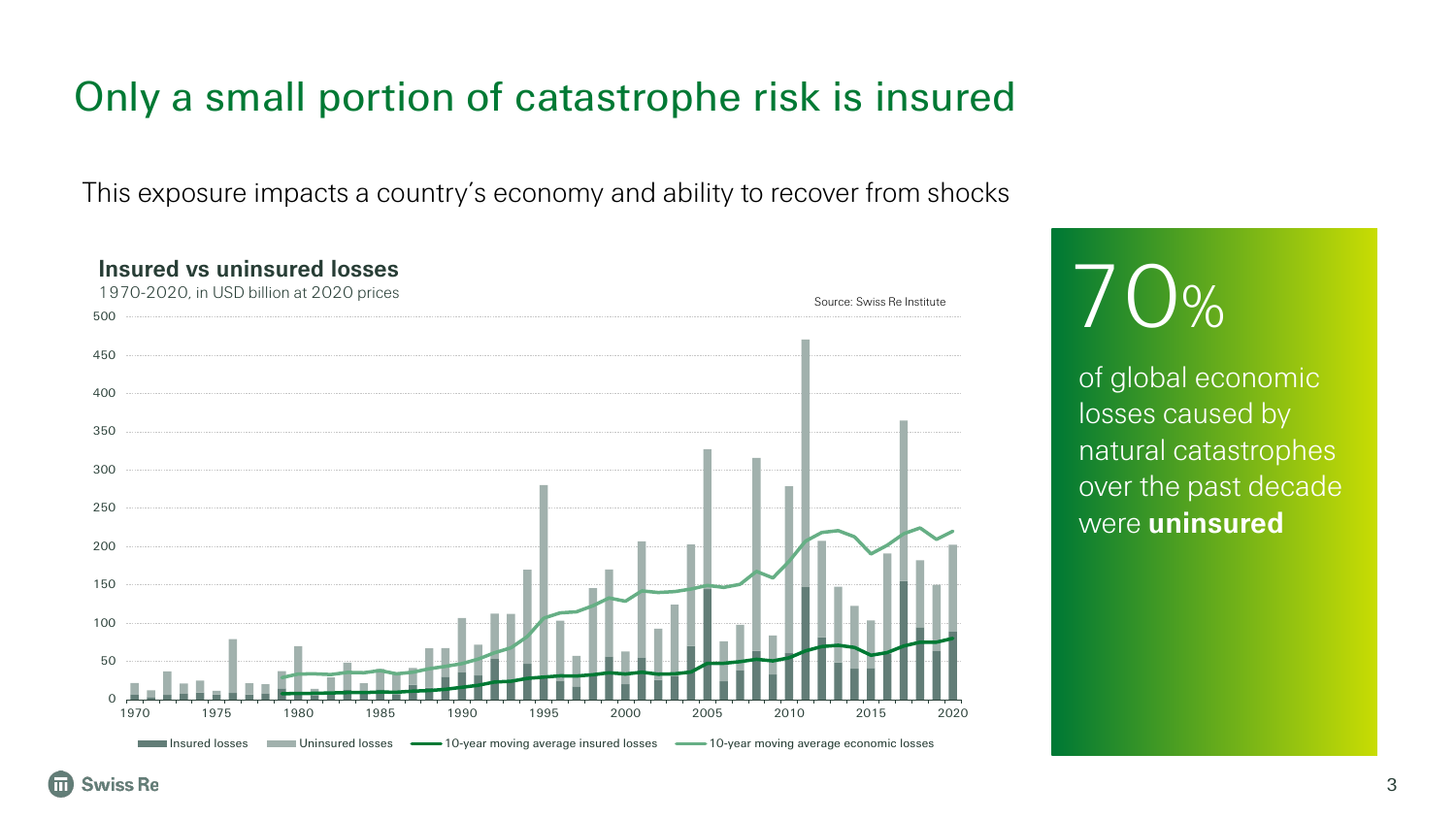### Only a small portion of catastrophe risk is insured

This exposure impacts a country's economy and ability to recover from shocks



# $70%$

of global economic losses caused by natural catastrophes over the past decade were **uninsured**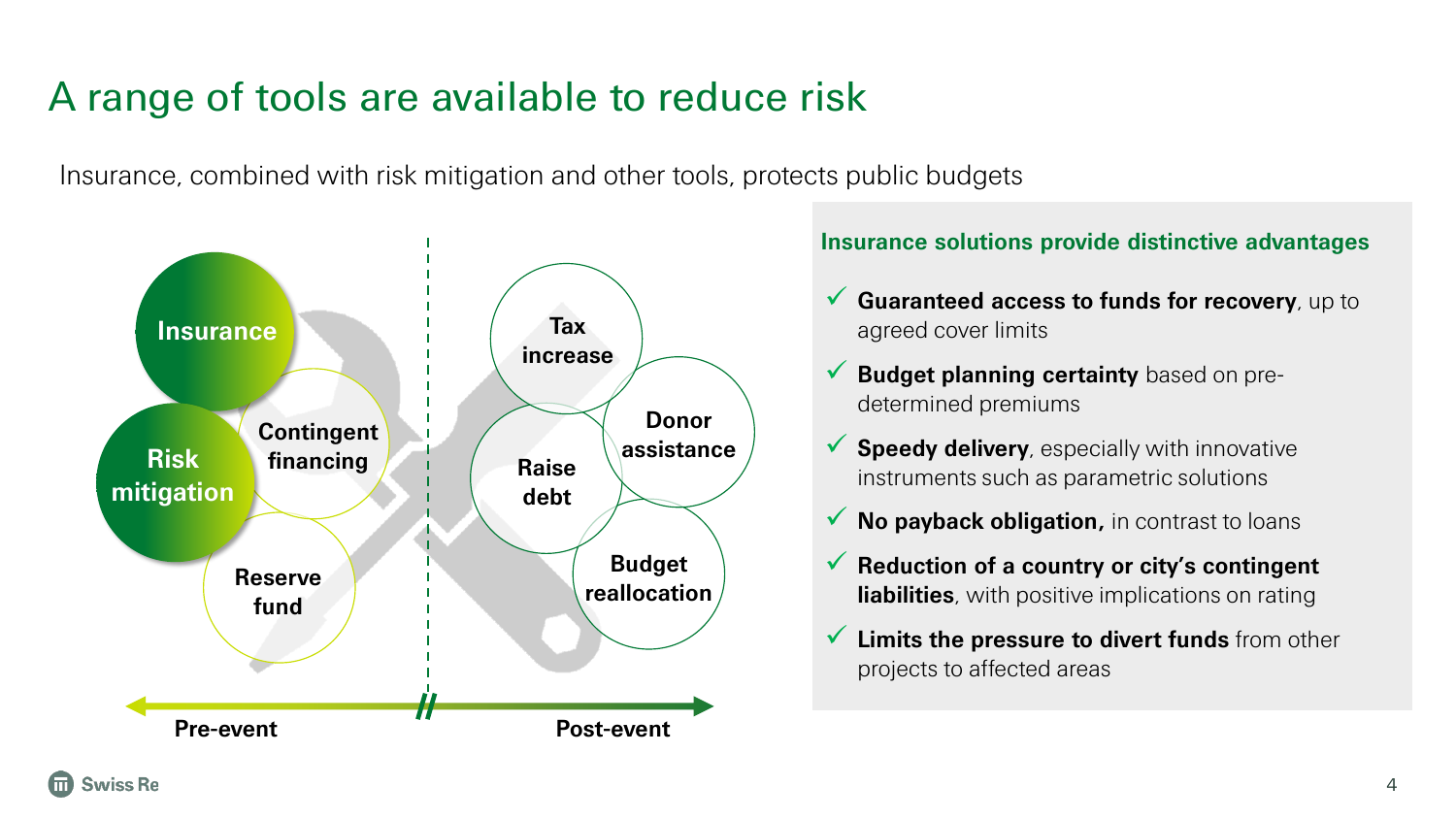### A range of tools are available to reduce risk

Insurance, combined with risk mitigation and other tools, protects public budgets



#### **Insurance solutions provide distinctive advantages**

- ✓ **Guaranteed access to funds for recovery**, up to agreed cover limits
- **Budget planning certainty** based on predetermined premiums
- ✓ **Speedy delivery**, especially with innovative instruments such as parametric solutions
- ✓ **No payback obligation,** in contrast to loans
- ✓ **Reduction of a country or city's contingent liabilities**, with positive implications on rating
- ✓ **Limits the pressure to divert funds** from other projects to affected areas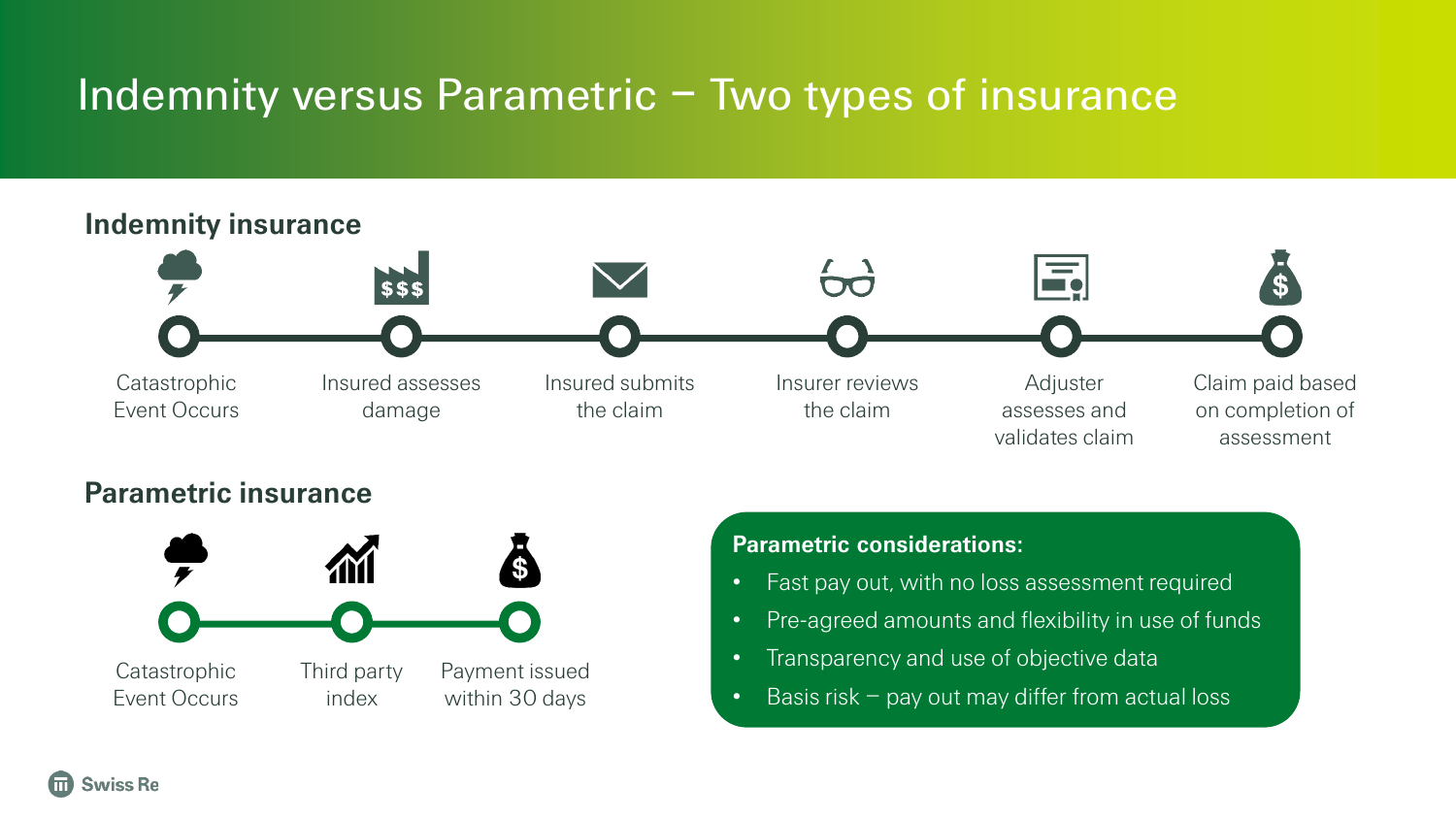## Indemnity versus Parametric - Two types of insurance



#### **Parametric insurance**



#### **Parametric considerations:**

- Fast pay out, with no loss assessment required
- Pre-agreed amounts and flexibility in use of funds
- Transparency and use of objective data
- Basis risk  $-$  pay out may differ from actual loss

**Swiss Re**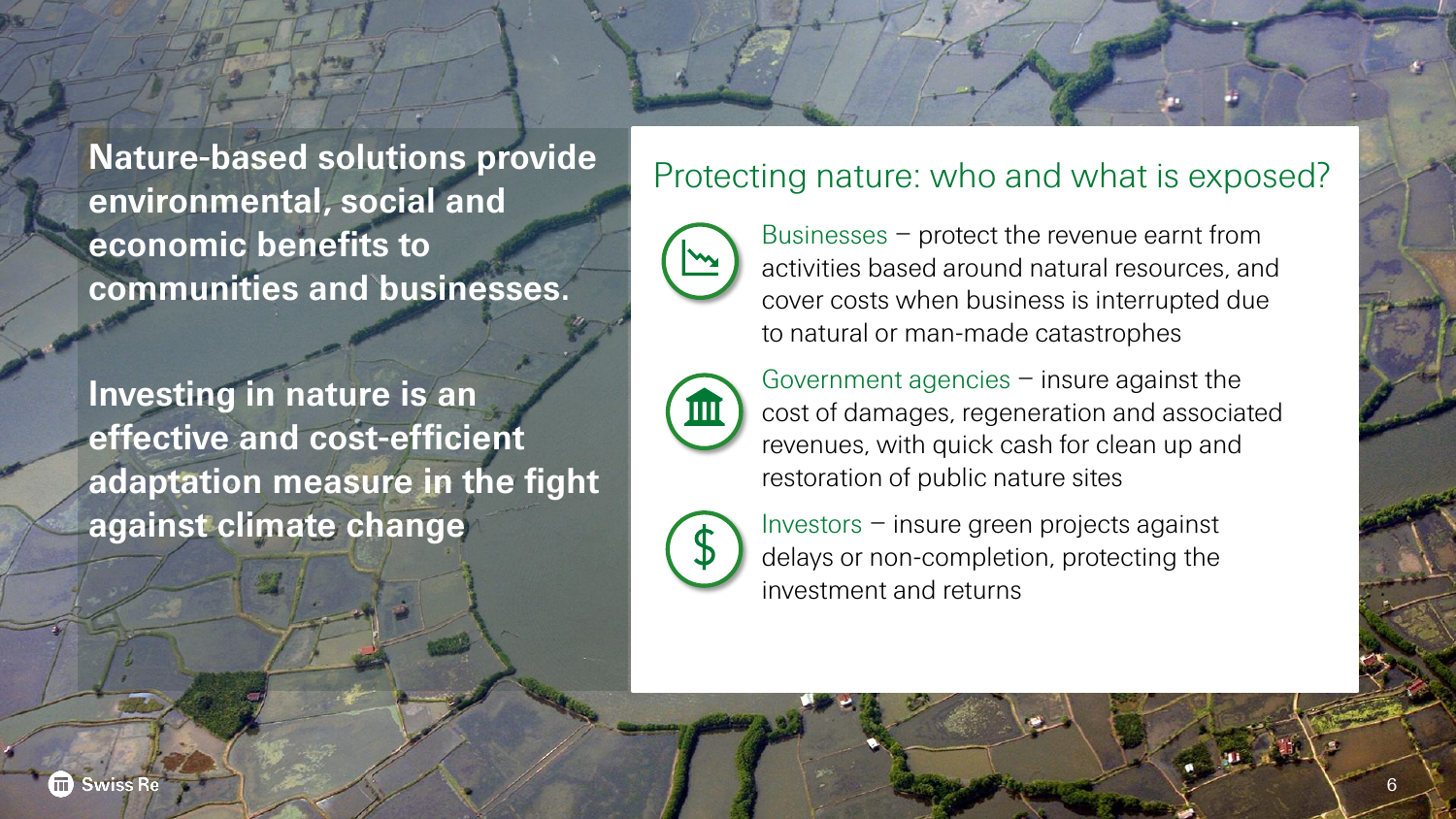**Nature-based solutions provide** Protecting nature: who and what is exposed? **environmental, social and economic benefits to communities and businesses.** 

**Investing in nature is an effective and cost-efficient adaptation measure in the fight against climate change**



Businesses – protect the revenue earnt from activities based around natural resources, and cover costs when business is interrupted due to natural or man-made catastrophes

Government agencies  $-$  insure against the cost of damages, regeneration and associated revenues, with quick cash for clean up and restoration of public nature sites



Investors – insure green projects against delays or non-completion, protecting the investment and returns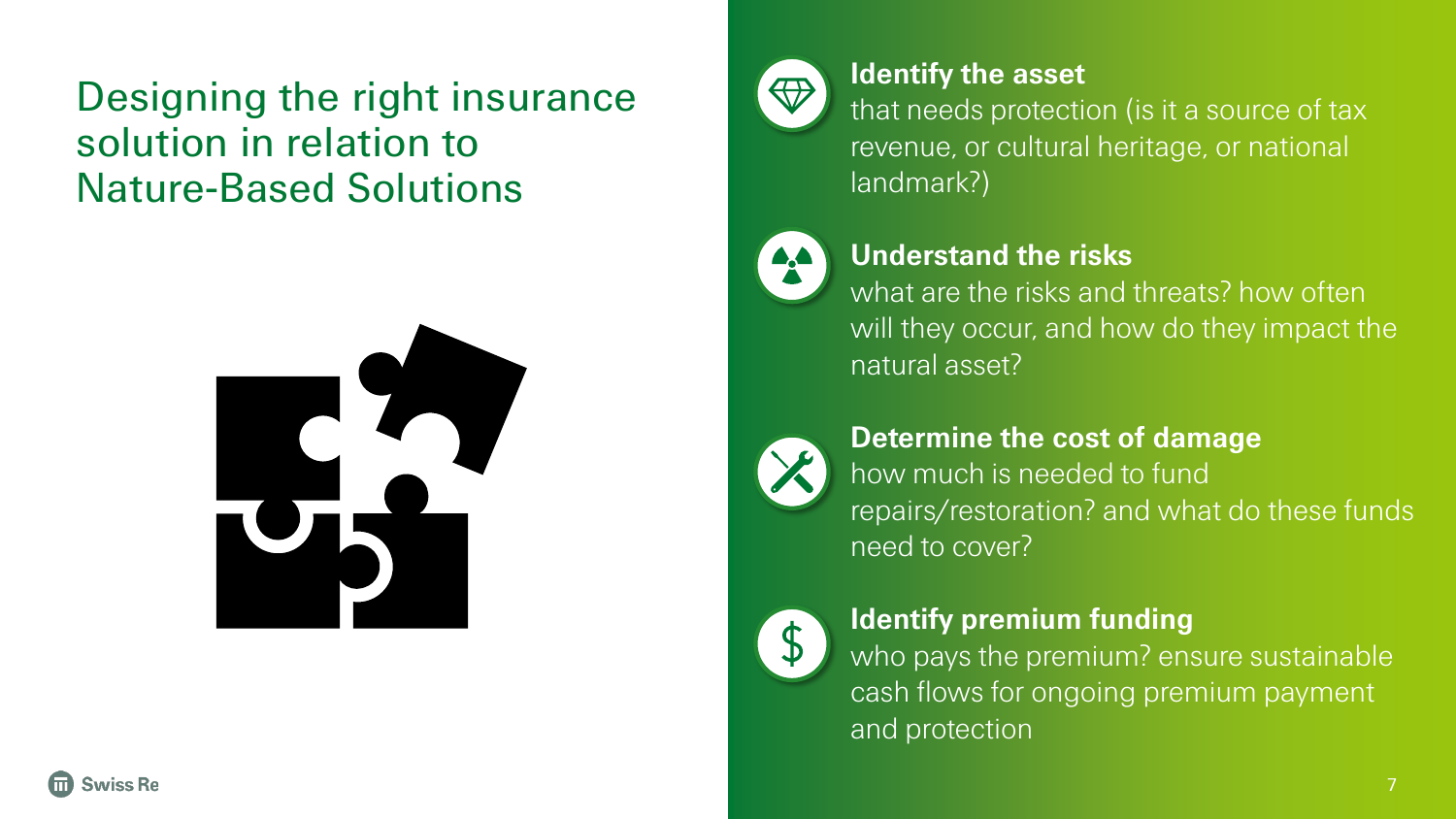### Designing the right insurance solution in relation to Nature-Based Solutions





### **Identify the asset**

that needs protection (is it a source of tax revenue, or cultural heritage, or national landmark?)



### **Understand the risks**

what are the risks and threats? how often will they occur, and how do they impact the natural asset?



### **Determine the cost of damage**  how much is needed to fund repairs/restoration? and what do these funds need to cover?



### **Identify premium funding**

who pays the premium? ensure sustainable cash flows for ongoing premium payment and protection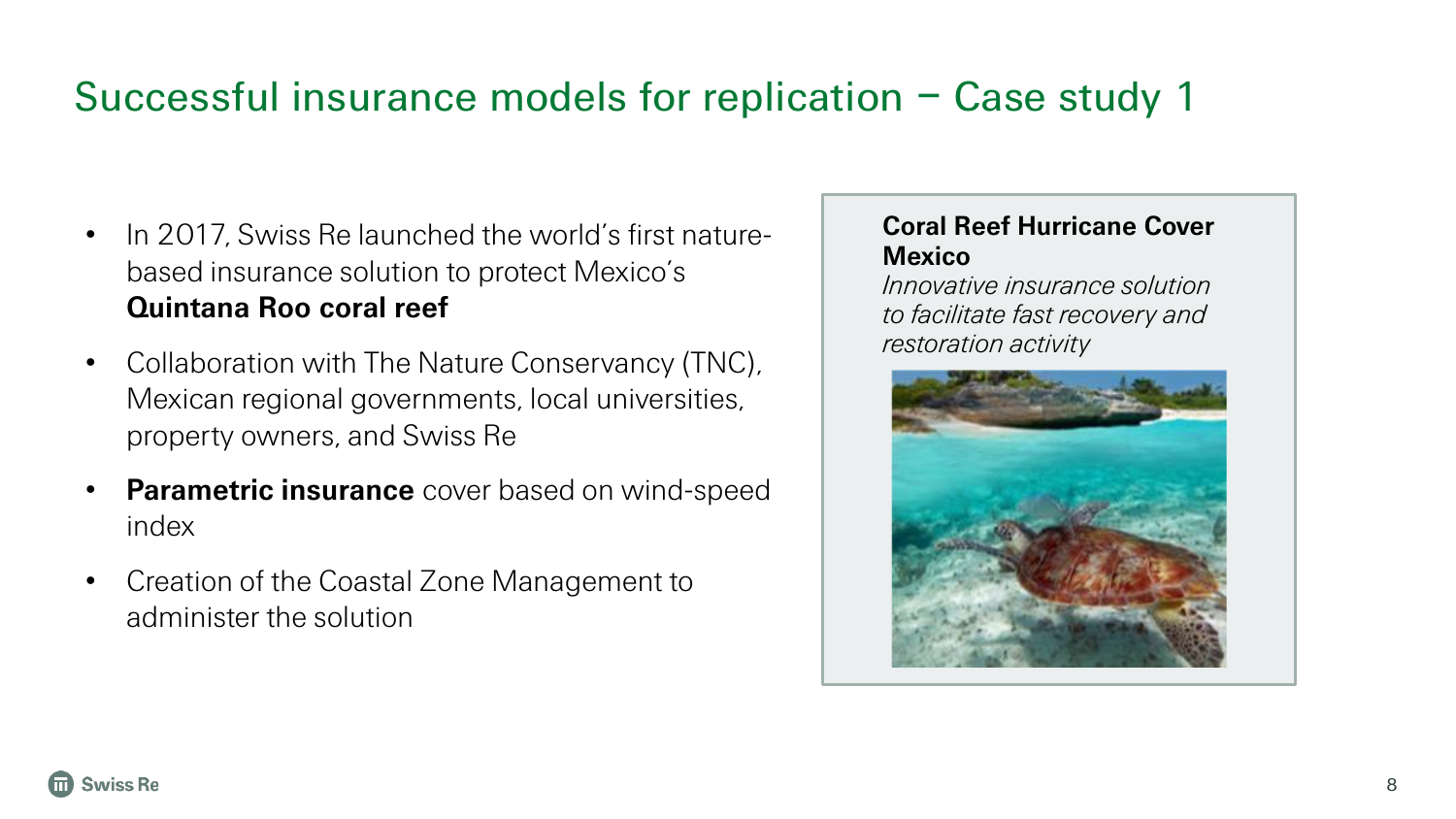### Successful insurance models for replication – Case study 1

- In 2017, Swiss Re launched the world's first naturebased insurance solution to protect Mexico's **Quintana Roo coral reef**
- Collaboration with The Nature Conservancy (TNC), Mexican regional governments, local universities, property owners, and Swiss Re
- **Parametric insurance** cover based on wind-speed index
- Creation of the Coastal Zone Management to administer the solution

#### **Coral Reef Hurricane Cover Mexico**

*Innovative insurance solution to facilitate fast recovery and restoration activity* 

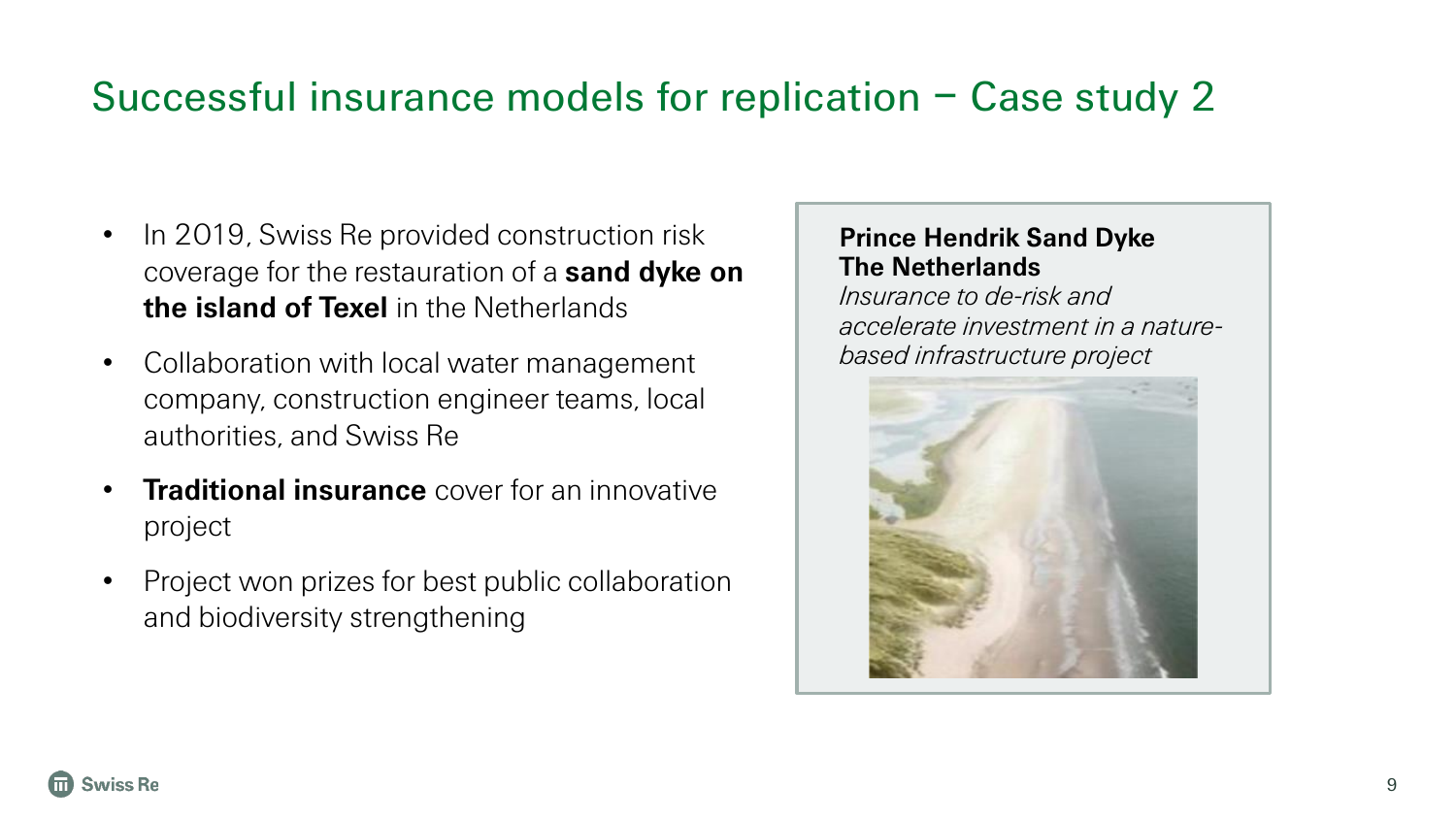### Successful insurance models for replication – Case study 2

- In 2019, Swiss Re provided construction risk coverage for the restauration of a **sand dyke on the island of Texel** in the Netherlands
- Collaboration with local water management company, construction engineer teams, local authorities, and Swiss Re
- **Traditional insurance** cover for an innovative project
- Project won prizes for best public collaboration and biodiversity strengthening

#### **Prince Hendrik Sand Dyke The Netherlands**

*Insurance to de-risk and accelerate investment in a naturebased infrastructure project*